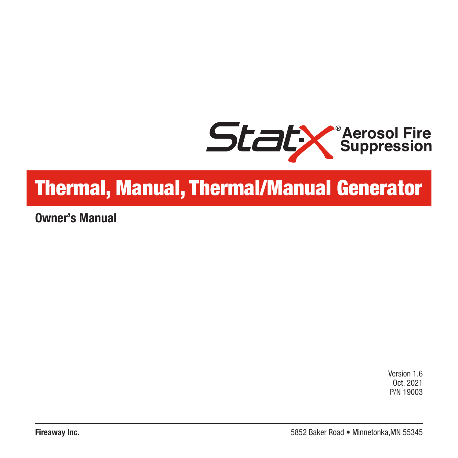

# Thermal, Manual, Thermal/Manual Generator

**Owner's Manual**

Version 1.6 Oct. 2021 P/N 19003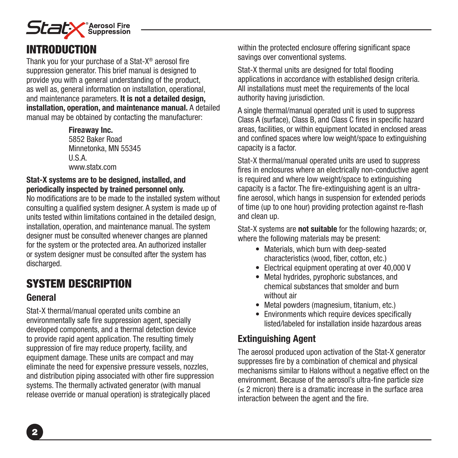

# INTRODUCTION

Thank you for your purchase of a Stat-X® aerosol fire suppression generator. This brief manual is designed to provide you with a general understanding of the product, as well as, general information on installation, operational, and maintenance parameters. **It is not a detailed design, installation, operation, and maintenance manual.** A detailed manual may be obtained by contacting the manufacturer:

> **Fireaway Inc.** 5852 Baker Road Minnetonka, MN 55345 U.S.A. www.statx.com

#### **Stat-X systems are to be designed, installed, and periodically inspected by trained personnel only.**

No modifications are to be made to the installed system without consulting a qualified system designer. A system is made up of units tested within limitations contained in the detailed design, installation, operation, and maintenance manual. The system designer must be consulted whenever changes are planned for the system or the protected area. An authorized installer or system designer must be consulted after the system has discharged.

# SYSTEM DESCRIPTION

### **General**

Stat-X thermal/manual operated units combine an environmentally safe fire suppression agent, specially developed components, and a thermal detection device to provide rapid agent application. The resulting timely suppression of fire may reduce property, facility, and equipment damage. These units are compact and may eliminate the need for expensive pressure vessels, nozzles, and distribution piping associated with other fire suppression systems. The thermally activated generator (with manual release override or manual operation) is strategically placed

within the protected enclosure offering significant space savings over conventional systems.

Stat-X thermal units are designed for total flooding applications in accordance with established design criteria. All installations must meet the requirements of the local authority having jurisdiction.

A single thermal/manual operated unit is used to suppress Class A (surface), Class B, and Class C fires in specific hazard areas, facilities, or within equipment located in enclosed areas and confined spaces where low weight/space to extinguishing capacity is a factor.

Stat-X thermal/manual operated units are used to suppress fires in enclosures where an electrically non-conductive agent is required and where low weight/space to extinguishing capacity is a factor. The fire-extinguishing agent is an ultrafine aerosol, which hangs in suspension for extended periods of time (up to one hour) providing protection against re-flash and clean up.

Stat-X systems are **not suitable** for the following hazards; or, where the following materials may be present:

- Materials, which burn with deep-seated characteristics (wood, fiber, cotton, etc.)
- Electrical equipment operating at over 40,000 V
- Metal hydrides, pyrophoric substances, and chemical substances that smolder and burn without air
- Metal powders (magnesium, titanium, etc.)
- Environments which require devices specifically listed/labeled for installation inside hazardous areas

# **Extinguishing Agent**

The aerosol produced upon activation of the Stat-X generator suppresses fire by a combination of chemical and physical mechanisms similar to Halons without a negative effect on the environment. Because of the aerosol's ultra-fine particle size  $(s$  2 micron) there is a dramatic increase in the surface area interaction between the agent and the fire.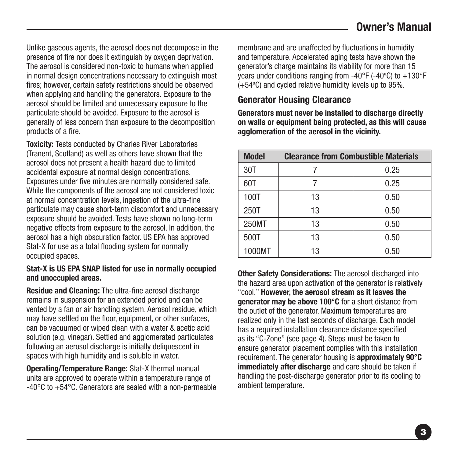Unlike gaseous agents, the aerosol does not decompose in the presence of fire nor does it extinguish by oxygen deprivation. The aerosol is considered non-toxic to humans when applied in normal design concentrations necessary to extinguish most fires; however, certain safety restrictions should be observed when applying and handling the generators. Exposure to the aerosol should be limited and unnecessary exposure to the particulate should be avoided. Exposure to the aerosol is generally of less concern than exposure to the decomposition products of a fire.

**Toxicity:** Tests conducted by Charles River Laboratories (Tranent, Scotland) as well as others have shown that the aerosol does not present a health hazard due to limited accidental exposure at normal design concentrations. Exposures under five minutes are normally considered safe. While the components of the aerosol are not considered toxic at normal concentration levels, ingestion of the ultra-fine particulate may cause short-term discomfort and unnecessary exposure should be avoided. Tests have shown no long-term negative effects from exposure to the aerosol. In addition, the aerosol has a high obscuration factor. US EPA has approved Stat-X for use as a total flooding system for normally occupied spaces.

#### **Stat-X is US EPA SNAP listed for use in normally occupied and unoccupied areas.**

**Residue and Cleaning:** The ultra-fine aerosol discharge remains in suspension for an extended period and can be vented by a fan or air handling system. Aerosol residue, which may have settled on the floor, equipment, or other surfaces. can be vacuumed or wiped clean with a water & acetic acid solution (e.g. vinegar). Settled and agglomerated particulates following an aerosol discharge is initially deliquescent in spaces with high humidity and is soluble in water.

**Operating/Temperature Range:** Stat-X thermal manual units are approved to operate within a temperature range of -40°C to +54°C. Generators are sealed with a non-permeable

membrane and are unaffected by fluctuations in humidity and temperature. Accelerated aging tests have shown the generator's charge maintains its viability for more than 15 years under conditions ranging from  $-40^{\circ}$ F ( $-40^{\circ}$ C) to  $+130^{\circ}$ F (+54ºC) and cycled relative humidity levels up to 95%.

### **Generator Housing Clearance**

**Generators must never be installed to discharge directly on walls or equipment being protected, as this will cause agglomeration of the aerosol in the vicinity.**

| <b>Model</b> | <b>Clearance from Combustible Materials</b> |      |  |
|--------------|---------------------------------------------|------|--|
| 30T          |                                             | 0.25 |  |
| 60T          |                                             | 0.25 |  |
| 100T         | 13                                          | 0.50 |  |
| 250T         | 13                                          | 0.50 |  |
| 250MT        | 13                                          | 0.50 |  |
| 500T         | 13                                          | 0.50 |  |
| 1000MT       | 13                                          | 0.50 |  |

**Other Safety Considerations:** The aerosol discharged into the hazard area upon activation of the generator is relatively "cool." **However, the aerosol stream as it leaves the generator may be above 100°C** for a short distance from the outlet of the generator. Maximum temperatures are realized only in the last seconds of discharge. Each model has a required installation clearance distance specified as its "C-Zone" (see page 4). Steps must be taken to ensure generator placement complies with this installation requirement. The generator housing is **approximately 90°C immediately after discharge** and care should be taken if handling the post-discharge generator prior to its cooling to ambient temperature.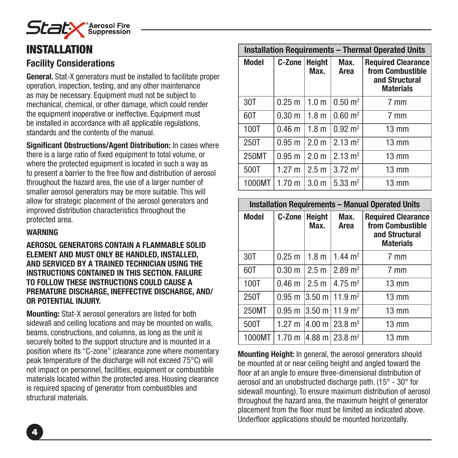

# INSTALLATION

### **Facility Considerations**

**General.** Stat-X generators must be installed to facilitate proper operation, inspection, testing, and any other maintenance as may be necessary. Equipment must not be subject to mechanical, chemical, or other damage, which could render the equipment inoperative or ineffective. Equipment must be installed in accordance with all applicable regulations, standards and the contents of the manual.

**Significant Obstructions/Agent Distribution:** In cases where there is a large ratio of fixed equipment to total volume, or where the protected equipment is located in such a way as to present a barrier to the free flow and distribution of aerosol throughout the hazard area, the use of a larger number of smaller aerosol generators may be more suitable. This will allow for strategic placement of the aerosol generators and improved distribution characteristics throughout the protected area.

#### **WARNING**

**AEROSOL GENERATORS CONTAIN A FLAMMABLE SOLID ELEMENT AND MUST ONLY BE HANDLED, INSTALLED, AND SERVICED BY A TRAINED TECHNICIAN USING THE INSTRUCTIONS CONTAINED IN THIS SECTION. FAILURE TO FOLLOW THESE INSTRUCTIONS COULD CAUSE A PREMATURE DISCHARGE, INEFFECTIVE DISCHARGE, AND/ OR POTENTIAL INJURY.** 

**Mounting:** Stat-X aerosol generators are listed for both sidewall and ceiling locations and may be mounted on walls, beams, constructions, and columns, as long as the unit is securely bolted to the support structure and is mounted in a position where its "C-zone" (clearance zone where momentary peak temperature of the discharge will not exceed 75°C) will not impact on personnel, facilities, equipment or combustible materials located within the protected area. Housing clearance is required spacing of generator from combustibles and structural materials.

| <b>Installation Requirements - Thermal Operated Units</b> |                   |                       |                        |                                                                                     |
|-----------------------------------------------------------|-------------------|-----------------------|------------------------|-------------------------------------------------------------------------------------|
| <b>Model</b>                                              | C-Zone            | <b>Height</b><br>Max. | Max.<br>Area           | <b>Required Clearance</b><br>from Combustible<br>and Structural<br><b>Materials</b> |
| 30T                                                       | $0.25 \text{ m}$  | 1.0 <sub>m</sub>      | $0.50 \text{ m}^2$     | 7 mm                                                                                |
| 60T                                                       | 0.30 <sub>m</sub> | 1.8 <sub>m</sub>      | $0.60 \; \text{m}^2$   | 7 mm                                                                                |
| 100T                                                      | 0.46 <sub>m</sub> | 1.8 <sub>m</sub>      | $0.92 \; \mathrm{m}^2$ | $13 \text{ mm}$                                                                     |
| 250T                                                      | $0.95 \text{ m}$  | 2.0 <sub>m</sub>      | $2.13 \text{ m}^2$     | $13 \text{ mm}$                                                                     |
| 250MT                                                     | $0.95 \text{ m}$  | 2.0 <sub>m</sub>      | $2.13 \text{ m}^2$     | $13 \text{ mm}$                                                                     |
| 500T                                                      | $1.27 \text{ m}$  | 2.5 <sub>m</sub>      | $3.72 \text{ m}^2$     | $13 \text{ mm}$                                                                     |
| 1000MT                                                    | 1.70 m            | 3.0 <sub>m</sub>      | $5.33 \text{ m}^2$     | $13 \text{ mm}$                                                                     |

| <b>Installation Requirements - Manual Operated Units</b> |                   |                       |                                      |                                                                                     |
|----------------------------------------------------------|-------------------|-----------------------|--------------------------------------|-------------------------------------------------------------------------------------|
| <b>Model</b>                                             | <b>C-Zone</b>     | <b>Height</b><br>Max. | Max.<br>Area                         | <b>Required Clearance</b><br>from Combustible<br>and Structural<br><b>Materials</b> |
| 30T                                                      | $0.25$ m          | 1.8 <sub>m</sub>      | $1.44 \text{ m}^2$                   | 7 mm                                                                                |
| 60T                                                      | 0.30 <sub>m</sub> | 2.5 <sub>m</sub>      | $2.89 \text{ m}^2$                   | 7 mm                                                                                |
| 100T                                                     | 0.46 <sub>m</sub> | 2.5 <sub>m</sub>      | 4.75 $m2$                            | $13 \text{ mm}$                                                                     |
| 250T                                                     | $0.95 \text{ m}$  |                       | $3.50 \text{ m}$ 11.9 m <sup>2</sup> | $13 \text{ mm}$                                                                     |
| 250MT                                                    | $0.95 \text{ m}$  |                       | $3.50 \text{ m}$ 11.9 m <sup>2</sup> | $13 \text{ mm}$                                                                     |
| 500T                                                     | $1.27 \text{ m}$  |                       | $ 4.00 \text{ m}  23.8 \text{ m}^2$  | $13 \text{ mm}$                                                                     |
| 1000MT                                                   | 1.70 <sub>m</sub> |                       | $ 4.88 \text{ m}  23.8 \text{ m}^2$  | $13 \text{ mm}$                                                                     |

**Mounting Height:** In general, the aerosol generators should be mounted at or near ceiling height and angled toward the floor at an angle to ensure three-dimensional distribution of aerosol and an unobstructed discharge path. (15° - 30° for sidewall mounting). To ensure maximum distribution of aerosol throughout the hazard area, the maximum height of generator placement from the floor must be limited as indicated above. Underfloor applications should be mounted horizontally.

4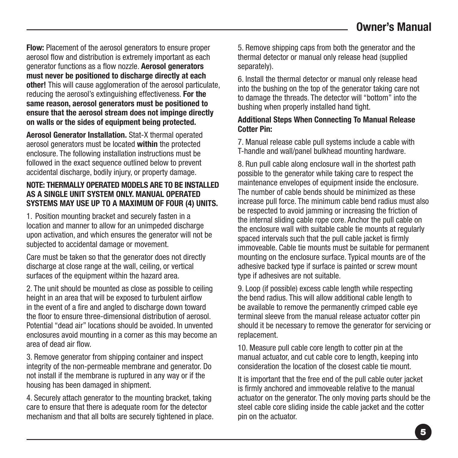**Flow:** Placement of the aerosol generators to ensure proper aerosol flow and distribution is extremely important as each generator functions as a flow nozzle. **Aerosol generators must never be positioned to discharge directly at each other!** This will cause agglomeration of the aerosol particulate, reducing the aerosol's extinguishing effectiveness. **For the same reason, aerosol generators must be positioned to ensure that the aerosol stream does not impinge directly on walls or the sides of equipment being protected.**

**Aerosol Generator Installation.** Stat-X thermal operated aerosol generators must be located **within** the protected enclosure. The following installation instructions must be followed in the exact sequence outlined below to prevent accidental discharge, bodily injury, or property damage.

#### **NOTE: THERMALLY OPERATED MODELS ARE TO BE INSTALLED AS A SINGLE UNIT SYSTEM ONLY. MANUAL OPERATED SYSTEMS MAY USE UP TO A MAXIMUM OF FOUR (4) UNITS.**

1. Position mounting bracket and securely fasten in a location and manner to allow for an unimpeded discharge upon activation, and which ensures the generator will not be subjected to accidental damage or movement.

Care must be taken so that the generator does not directly discharge at close range at the wall, ceiling, or vertical surfaces of the equipment within the hazard area.

2. The unit should be mounted as close as possible to ceiling height in an area that will be exposed to turbulent airflow in the event of a fire and angled to discharge down toward the floor to ensure three-dimensional distribution of aerosol. Potential "dead air" locations should be avoided. In unvented enclosures avoid mounting in a corner as this may become an area of dead air flow.

3. Remove generator from shipping container and inspect integrity of the non-permeable membrane and generator. Do not install if the membrane is ruptured in any way or if the housing has been damaged in shipment.

4. Securely attach generator to the mounting bracket, taking care to ensure that there is adequate room for the detector mechanism and that all bolts are securely tightened in place.

5. Remove shipping caps from both the generator and the thermal detector or manual only release head (supplied separately).

6. Install the thermal detector or manual only release head into the bushing on the top of the generator taking care not to damage the threads. The detector will "bottom" into the bushing when properly installed hand tight.

#### **Additional Steps When Connecting To Manual Release Cotter Pin:**

7. Manual release cable pull systems include a cable with T-handle and wall/panel bulkhead mounting hardware.

8. Run pull cable along enclosure wall in the shortest path possible to the generator while taking care to respect the maintenance envelopes of equipment inside the enclosure. The number of cable bends should be minimized as these increase pull force. The minimum cable bend radius must also be respected to avoid jamming or increasing the friction of the internal sliding cable rope core. Anchor the pull cable on the enclosure wall with suitable cable tie mounts at regularly spaced intervals such that the pull cable jacket is firmly immoveable. Cable tie mounts must be suitable for permanent mounting on the enclosure surface. Typical mounts are of the adhesive backed type if surface is painted or screw mount type if adhesives are not suitable.

9. Loop (if possible) excess cable length while respecting the bend radius. This will allow additional cable length to be available to remove the permanently crimped cable eye terminal sleeve from the manual release actuator cotter pin should it be necessary to remove the generator for servicing or replacement.

10. Measure pull cable core length to cotter pin at the manual actuator, and cut cable core to length, keeping into consideration the location of the closest cable tie mount.

It is important that the free end of the pull cable outer jacket is firmly anchored and immoveable relative to the manual actuator on the generator. The only moving parts should be the steel cable core sliding inside the cable jacket and the cotter pin on the actuator.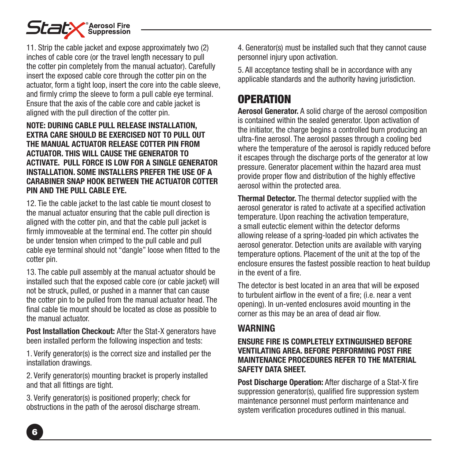

11. Strip the cable jacket and expose approximately two (2) inches of cable core (or the travel length necessary to pull the cotter pin completely from the manual actuator). Carefully insert the exposed cable core through the cotter pin on the actuator, form a tight loop, insert the core into the cable sleeve, and firmly crimp the sleeve to form a pull cable eye terminal. Ensure that the axis of the cable core and cable jacket is aligned with the pull direction of the cotter pin.

#### **NOTE: DURING CABLE PULL RELEASE INSTALLATION, EXTRA CARE SHOULD BE EXERCISED NOT TO PULL OUT THE MANUAL ACTUATOR RELEASE COTTER PIN FROM ACTUATOR. THIS WILL CAUSE THE GENERATOR TO ACTIVATE. PULL FORCE IS LOW FOR A SINGLE GENERATOR INSTALLATION. SOME INSTALLERS PREFER THE USE OF A CARABINER SNAP HOOK BETWEEN THE ACTUATOR COTTER PIN AND THE PULL CABLE EYE.**

12. Tie the cable jacket to the last cable tie mount closest to the manual actuator ensuring that the cable pull direction is aligned with the cotter pin, and that the cable pull jacket is firmly immoveable at the terminal end. The cotter pin should be under tension when crimped to the pull cable and pull cable eye terminal should not "dangle" loose when fitted to the cotter pin.

13. The cable pull assembly at the manual actuator should be installed such that the exposed cable core (or cable jacket) will not be struck, pulled, or pushed in a manner that can cause the cotter pin to be pulled from the manual actuator head. The final cable tie mount should be located as close as possible to the manual actuator.

Post Installation Checkout: After the Stat-X generators have been installed perform the following inspection and tests:

1. Verify generator(s) is the correct size and installed per the installation drawings.

2. Verify generator(s) mounting bracket is properly installed and that all fittings are tight.

3. Verify generator(s) is positioned properly; check for obstructions in the path of the aerosol discharge stream.

4. Generator(s) must be installed such that they cannot cause personnel injury upon activation.

5. All acceptance testing shall be in accordance with any applicable standards and the authority having jurisdiction.

# **OPERATION**

**Aerosol Generator.** A solid charge of the aerosol composition is contained within the sealed generator. Upon activation of the initiator, the charge begins a controlled burn producing an ultra-fine aerosol. The aerosol passes through a cooling bed where the temperature of the aerosol is rapidly reduced before it escapes through the discharge ports of the generator at low pressure. Generator placement within the hazard area must provide proper flow and distribution of the highly effective aerosol within the protected area.

**Thermal Detector.** The thermal detector supplied with the aerosol generator is rated to activate at a specified activation temperature. Upon reaching the activation temperature, a small eutectic element within the detector deforms allowing release of a spring-loaded pin which activates the aerosol generator. Detection units are available with varying temperature options. Placement of the unit at the top of the enclosure ensures the fastest possible reaction to heat buildup in the event of a fire.

The detector is best located in an area that will be exposed to turbulent airflow in the event of a fire; (i.e. near a vent opening). In un-vented enclosures avoid mounting in the corner as this may be an area of dead air flow.

### **WARNING**

#### **ENSURE FIRE IS COMPLETELY EXTINGUISHED BEFORE VENTILATING AREA. BEFORE PERFORMING POST FIRE MAINTENANCE PROCEDURES REFER TO THE MATERIAL SAFETY DATA SHEET.**

**Post Discharge Operation:** After discharge of a Stat-X fire suppression generator(s), qualified fire suppression system maintenance personnel must perform maintenance and system verification procedures outlined in this manual.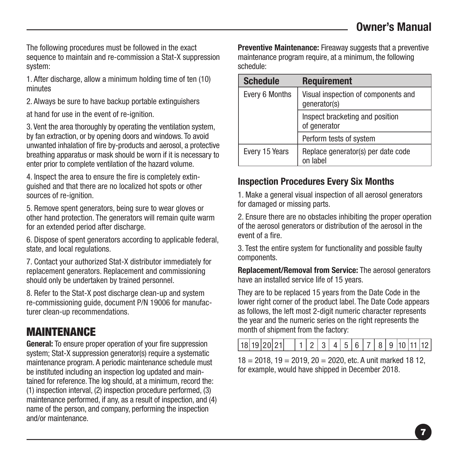The following procedures must be followed in the exact sequence to maintain and re-commission a Stat-X suppression system:

1. After discharge, allow a minimum holding time of ten (10) minutes

2. Always be sure to have backup portable extinguishers

at hand for use in the event of re-ignition.

3. Vent the area thoroughly by operating the ventilation system, by fan extraction, or by opening doors and windows. To avoid unwanted inhalation of fire by-products and aerosol, a protective breathing apparatus or mask should be worn if it is necessary to enter prior to complete ventilation of the hazard volume.

4. Inspect the area to ensure the fire is completely extinguished and that there are no localized hot spots or other sources of re-ignition.

5. Remove spent generators, being sure to wear gloves or other hand protection. The generators will remain quite warm for an extended period after discharge.

6. Dispose of spent generators according to applicable federal, state, and local regulations.

7. Contact your authorized Stat-X distributor immediately for replacement generators. Replacement and commissioning should only be undertaken by trained personnel.

8. Refer to the Stat-X post discharge clean-up and system re-commissioning guide, document P/N 19006 for manufacturer clean-up recommendations.

# **MAINTENANCE**

**General:** To ensure proper operation of your fire suppression system: Stat-X suppression generator(s) require a systematic maintenance program. A periodic maintenance schedule must be instituted including an inspection log updated and maintained for reference. The log should, at a minimum, record the: (1) inspection interval, (2) inspection procedure performed, (3) maintenance performed, if any, as a result of inspection, and (4) name of the person, and company, performing the inspection and/or maintenance.

**Preventive Maintenance:** Fireaway suggests that a preventive maintenance program require, at a minimum, the following schedule:

| <b>Schedule</b> | <b>Requirement</b>                                  |
|-----------------|-----------------------------------------------------|
| Every 6 Months  | Visual inspection of components and<br>generator(s) |
|                 | Inspect bracketing and position<br>of generator     |
|                 | Perform tests of system                             |
| Every 15 Years  | Replace generator(s) per date code<br>on label      |

### **Inspection Procedures Every Six Months**

1. Make a general visual inspection of all aerosol generators for damaged or missing parts.

2. Ensure there are no obstacles inhibiting the proper operation of the aerosol generators or distribution of the aerosol in the event of a fire.

3. Test the entire system for functionality and possible faulty components.

**Replacement/Removal from Service:** The aerosol generators have an installed service life of 15 years.

They are to be replaced 15 years from the Date Code in the lower right corner of the product label. The Date Code appears as follows, the left most 2-digit numeric character represents the year and the numeric series on the right represents the month of shipment from the factory:

18 19 20 21 1 2 3 4 5 6 7 8 9 10 11 12

 $18 = 2018$ ,  $19 = 2019$ ,  $20 = 2020$ , etc. A unit marked 18 12, for example, would have shipped in December 2018.